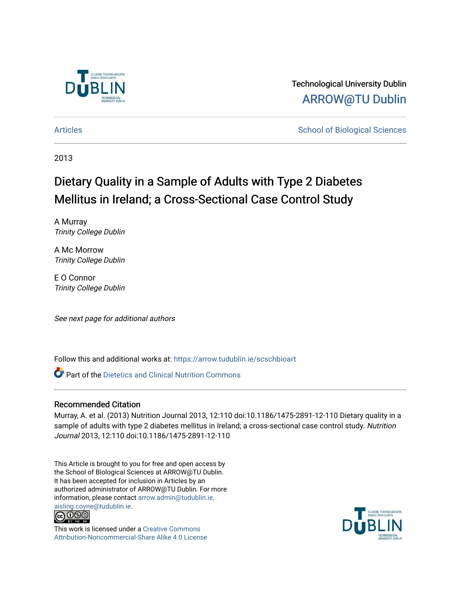

Technological University Dublin [ARROW@TU Dublin](https://arrow.tudublin.ie/) 

[Articles](https://arrow.tudublin.ie/scschbioart) **School of Biological Sciences** School of Biological Sciences

2013

# Dietary Quality in a Sample of Adults with Type 2 Diabetes Mellitus in Ireland; a Cross-Sectional Case Control Study

A Murray Trinity College Dublin

A Mc Morrow Trinity College Dublin

E O Connor Trinity College Dublin

See next page for additional authors

Follow this and additional works at: [https://arrow.tudublin.ie/scschbioart](https://arrow.tudublin.ie/scschbioart?utm_source=arrow.tudublin.ie%2Fscschbioart%2F133&utm_medium=PDF&utm_campaign=PDFCoverPages)

**Part of the Dietetics and Clinical Nutrition Commons** 

### Recommended Citation

Murray, A. et al. (2013) Nutrition Journal 2013, 12:110 doi:10.1186/1475-2891-12-110 Dietary quality in a sample of adults with type 2 diabetes mellitus in Ireland; a cross-sectional case control study. Nutrition Journal 2013, 12:110 doi:10.1186/1475-2891-12-110

This Article is brought to you for free and open access by the School of Biological Sciences at ARROW@TU Dublin. It has been accepted for inclusion in Articles by an authorized administrator of ARROW@TU Dublin. For more information, please contact [arrow.admin@tudublin.ie,](mailto:arrow.admin@tudublin.ie,%20aisling.coyne@tudublin.ie) 



This work is licensed under a [Creative Commons](http://creativecommons.org/licenses/by-nc-sa/4.0/) [Attribution-Noncommercial-Share Alike 4.0 License](http://creativecommons.org/licenses/by-nc-sa/4.0/)

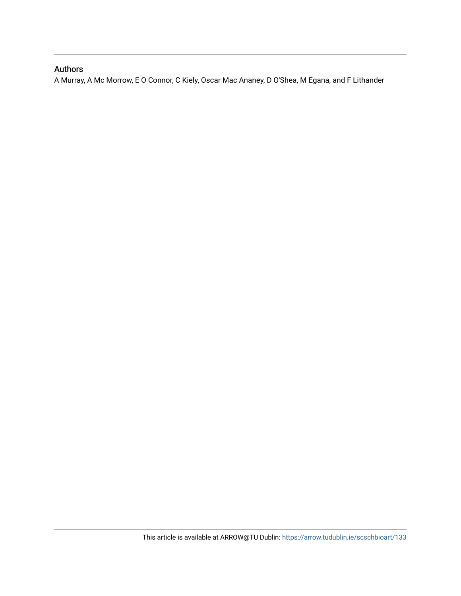## Authors

A Murray, A Mc Morrow, E O Connor, C Kiely, Oscar Mac Ananey, D O'Shea, M Egana, and F Lithander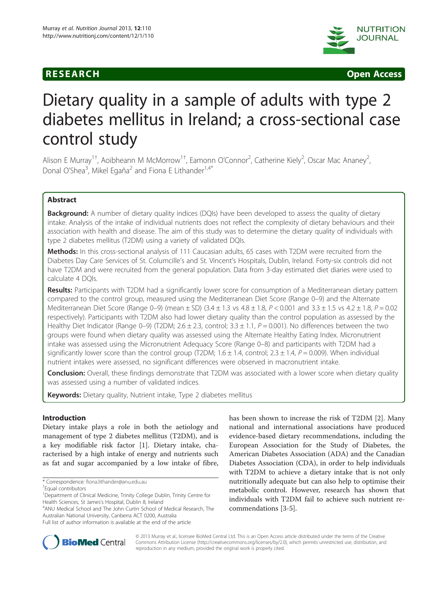# **RESEARCH CHINESE ARCH CHINESE ARCH CHINESE ARCH**



# Dietary quality in a sample of adults with type 2 diabetes mellitus in Ireland; a cross-sectional case control study

Alison E Murray<sup>1+</sup>, Aoibheann M McMorrow<sup>1+</sup>, Eamonn O'Connor<sup>2</sup>, Catherine Kiely<sup>2</sup>, Oscar Mac Ananey<sup>2</sup> .<br>, Donal O'Shea<sup>3</sup>, Mikel Egaña<sup>2</sup> and Fiona E Lithander<sup>1,4\*</sup>

### Abstract

**Background:** A number of dietary quality indices (DQIs) have been developed to assess the quality of dietary intake. Analysis of the intake of individual nutrients does not reflect the complexity of dietary behaviours and their association with health and disease. The aim of this study was to determine the dietary quality of individuals with type 2 diabetes mellitus (T2DM) using a variety of validated DQIs.

Methods: In this cross-sectional analysis of 111 Caucasian adults, 65 cases with T2DM were recruited from the Diabetes Day Care Services of St. Columcille's and St. Vincent's Hospitals, Dublin, Ireland. Forty-six controls did not have T2DM and were recruited from the general population. Data from 3-day estimated diet diaries were used to calculate 4 DQIs.

Results: Participants with T2DM had a significantly lower score for consumption of a Mediterranean dietary pattern compared to the control group, measured using the Mediterranean Diet Score (Range 0–9) and the Alternate Mediterranean Diet Score (Range 0–9) (mean  $\pm$  SD) (3.4  $\pm$  1.3 vs 4.8  $\pm$  1.8, P < 0.001 and 3.3  $\pm$  1.5 vs 4.2  $\pm$  1.8, P = 0.02 respectively). Participants with T2DM also had lower dietary quality than the control population as assessed by the Healthy Diet Indicator (Range 0–9) (T2DM; 2.6  $\pm$  2.3, control; 3.3  $\pm$  1.1, P = 0.001). No differences between the two groups were found when dietary quality was assessed using the Alternate Healthy Eating Index. Micronutrient intake was assessed using the Micronutrient Adequacy Score (Range 0–8) and participants with T2DM had a significantly lower score than the control group (T2DM;  $1.6 \pm 1.4$ , control;  $2.3 \pm 1.4$ ,  $P = 0.009$ ). When individual nutrient intakes were assessed, no significant differences were observed in macronutrient intake.

**Conclusion:** Overall, these findings demonstrate that T2DM was associated with a lower score when dietary quality was assessed using a number of validated indices.

Keywords: Dietary quality, Nutrient intake, Type 2 diabetes mellitus

### Introduction

Dietary intake plays a role in both the aetiology and management of type 2 diabetes mellitus (T2DM), and is a key modifiable risk factor [\[1](#page-11-0)]. Dietary intake, characterised by a high intake of energy and nutrients such as fat and sugar accompanied by a low intake of fibre,

ANU Medical School and The John Curtin School of Medical Research, The Australian National University, Canberra ACT 0200, Australia

has been shown to increase the risk of T2DM [[2\]](#page-11-0). Many national and international associations have produced evidence-based dietary recommendations, including the European Association for the Study of Diabetes, the American Diabetes Association (ADA) and the Canadian Diabetes Association (CDA), in order to help individuals with T2DM to achieve a dietary intake that is not only nutritionally adequate but can also help to optimise their metabolic control. However, research has shown that individuals with T2DM fail to achieve such nutrient recommendations [\[3](#page-11-0)-[5\]](#page-11-0).



© 2013 Murray et al.; licensee BioMed Central Ltd. This is an Open Access article distributed under the terms of the Creative Commons Attribution License [\(http://creativecommons.org/licenses/by/2.0\)](http://creativecommons.org/licenses/by/2.0), which permits unrestricted use, distribution, and reproduction in any medium, provided the original work is properly cited.

<sup>\*</sup> Correspondence: [fiona.lithander@anu.edu.au](mailto:fiona.lithander@anu.edu.au) †

Equal contributors

<sup>&</sup>lt;sup>1</sup>Department of Clinical Medicine, Trinity College Dublin, Trinity Centre for Health Sciences, St James's Hospital, Dublin 8, Ireland <sup>4</sup>

Full list of author information is available at the end of the article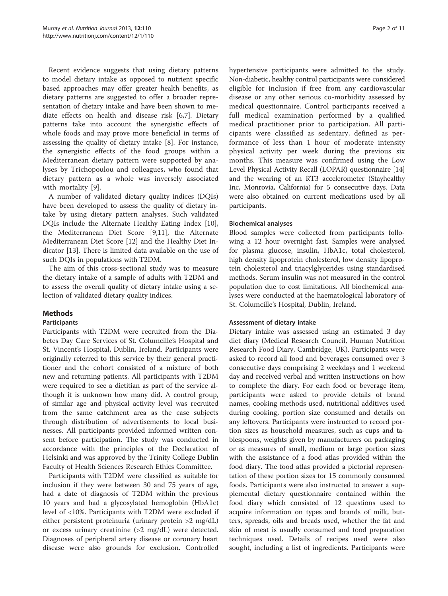Recent evidence suggests that using dietary patterns to model dietary intake as opposed to nutrient specific based approaches may offer greater health benefits, as dietary patterns are suggested to offer a broader representation of dietary intake and have been shown to mediate effects on health and disease risk [\[6,7](#page-11-0)]. Dietary patterns take into account the synergistic effects of whole foods and may prove more beneficial in terms of assessing the quality of dietary intake [\[8](#page-11-0)]. For instance, the synergistic effects of the food groups within a Mediterranean dietary pattern were supported by analyses by Trichopoulou and colleagues, who found that dietary pattern as a whole was inversely associated with mortality [[9](#page-11-0)].

A number of validated dietary quality indices (DQIs) have been developed to assess the quality of dietary intake by using dietary pattern analyses. Such validated DQIs include the Alternate Healthy Eating Index [\[10](#page-11-0)], the Mediterranean Diet Score [[9](#page-11-0),[11](#page-11-0)], the Alternate Mediterranean Diet Score [[12](#page-11-0)] and the Healthy Diet Indicator [[13](#page-11-0)]. There is limited data available on the use of such DQIs in populations with T2DM.

The aim of this cross-sectional study was to measure the dietary intake of a sample of adults with T2DM and to assess the overall quality of dietary intake using a selection of validated dietary quality indices.

### Methods

#### Participants

Participants with T2DM were recruited from the Diabetes Day Care Services of St. Columcille's Hospital and St. Vincent's Hospital, Dublin, Ireland. Participants were originally referred to this service by their general practitioner and the cohort consisted of a mixture of both new and returning patients. All participants with T2DM were required to see a dietitian as part of the service although it is unknown how many did. A control group, of similar age and physical activity level was recruited from the same catchment area as the case subjects through distribution of advertisements to local businesses. All participants provided informed written consent before participation. The study was conducted in accordance with the principles of the Declaration of Helsinki and was approved by the Trinity College Dublin Faculty of Health Sciences Research Ethics Committee.

Participants with T2DM were classified as suitable for inclusion if they were between 30 and 75 years of age, had a date of diagnosis of T2DM within the previous 10 years and had a glycosylated hemoglobin (HbA1c) level of <10%. Participants with T2DM were excluded if either persistent proteinuria (urinary protein >2 mg/dL) or excess urinary creatinine (>2 mg/dL) were detected. Diagnoses of peripheral artery disease or coronary heart disease were also grounds for exclusion. Controlled

hypertensive participants were admitted to the study. Non-diabetic, healthy control participants were considered eligible for inclusion if free from any cardiovascular disease or any other serious co-morbidity assessed by medical questionnaire. Control participants received a full medical examination performed by a qualified medical practitioner prior to participation. All participants were classified as sedentary, defined as performance of less than 1 hour of moderate intensity physical activity per week during the previous six months. This measure was confirmed using the Low Level Physical Activity Recall (LOPAR) questionnaire [[14](#page-11-0)] and the wearing of an RT3 accelerometer (Stayhealthy Inc, Monrovia, California) for 5 consecutive days. Data were also obtained on current medications used by all participants.

#### Biochemical analyses

Blood samples were collected from participants following a 12 hour overnight fast. Samples were analysed for plasma glucose, insulin, HbA1c, total cholesterol, high density lipoprotein cholesterol, low density lipoprotein cholesterol and triacylglycerides using standardised methods. Serum insulin was not measured in the control population due to cost limitations. All biochemical analyses were conducted at the haematological laboratory of St. Columcille's Hospital, Dublin, Ireland.

#### Assessment of dietary intake

Dietary intake was assessed using an estimated 3 day diet diary (Medical Research Council, Human Nutrition Research Food Diary, Cambridge, UK). Participants were asked to record all food and beverages consumed over 3 consecutive days comprising 2 weekdays and 1 weekend day and received verbal and written instructions on how to complete the diary. For each food or beverage item, participants were asked to provide details of brand names, cooking methods used, nutritional additives used during cooking, portion size consumed and details on any leftovers. Participants were instructed to record portion sizes as household measures, such as cups and tablespoons, weights given by manufacturers on packaging or as measures of small, medium or large portion sizes with the assistance of a food atlas provided within the food diary. The food atlas provided a pictorial representation of these portion sizes for 15 commonly consumed foods. Participants were also instructed to answer a supplemental dietary questionnaire contained within the food diary which consisted of 12 questions used to acquire information on types and brands of milk, butters, spreads, oils and breads used, whether the fat and skin of meat is usually consumed and food preparation techniques used. Details of recipes used were also sought, including a list of ingredients. Participants were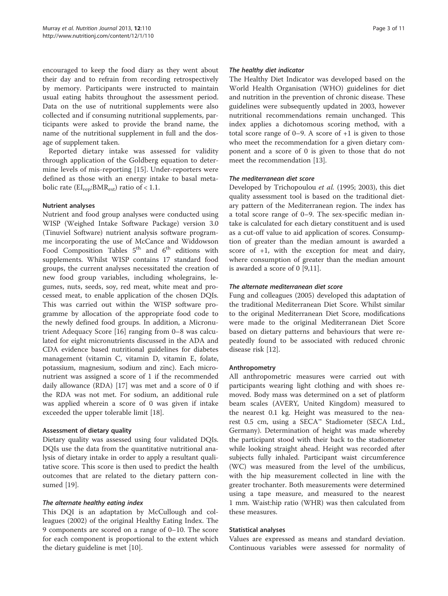encouraged to keep the food diary as they went about their day and to refrain from recording retrospectively by memory. Participants were instructed to maintain usual eating habits throughout the assessment period. Data on the use of nutritional supplements were also collected and if consuming nutritional supplements, participants were asked to provide the brand name, the name of the nutritional supplement in full and the dosage of supplement taken.

Reported dietary intake was assessed for validity through application of the Goldberg equation to determine levels of mis-reporting [[15\]](#page-11-0). Under-reporters were defined as those with an energy intake to basal metabolic rate ( $EI_{rep}:BMR_{est}$ ) ratio of < 1.1.

#### Nutrient analyses

Nutrient and food group analyses were conducted using WISP (Weighed Intake Software Package) version 3.0 (Tinuviel Software) nutrient analysis software programme incorporating the use of McCance and Widdowson Food Composition Tables  $5<sup>th</sup>$  and  $6<sup>th</sup>$  editions with supplements. Whilst WISP contains 17 standard food groups, the current analyses necessitated the creation of new food group variables, including wholegrains, legumes, nuts, seeds, soy, red meat, white meat and processed meat, to enable application of the chosen DQIs. This was carried out within the WISP software programme by allocation of the appropriate food code to the newly defined food groups. In addition, a Micronutrient Adequacy Score [[16\]](#page-11-0) ranging from 0–8 was calculated for eight micronutrients discussed in the ADA and CDA evidence based nutritional guidelines for diabetes management (vitamin C, vitamin D, vitamin E, folate, potassium, magnesium, sodium and zinc). Each micronutrient was assigned a score of 1 if the recommended daily allowance (RDA) [[17\]](#page-11-0) was met and a score of 0 if the RDA was not met. For sodium, an additional rule was applied wherein a score of 0 was given if intake exceeded the upper tolerable limit [[18\]](#page-11-0).

#### Assessment of dietary quality

Dietary quality was assessed using four validated DQIs. DQIs use the data from the quantitative nutritional analysis of dietary intake in order to apply a resultant qualitative score. This score is then used to predict the health outcomes that are related to the dietary pattern consumed [[19](#page-11-0)].

#### The alternate healthy eating index

This DQI is an adaptation by McCullough and colleagues (2002) of the original Healthy Eating Index. The 9 components are scored on a range of 0–10. The score for each component is proportional to the extent which the dietary guideline is met [\[10](#page-11-0)].

#### The healthy diet indicator

The Healthy Diet Indicator was developed based on the World Health Organisation (WHO) guidelines for diet and nutrition in the prevention of chronic disease. These guidelines were subsequently updated in 2003, however nutritional recommendations remain unchanged. This index applies a dichotomous scoring method, with a total score range of 0–9. A score of +1 is given to those who meet the recommendation for a given dietary component and a score of 0 is given to those that do not meet the recommendation [\[13](#page-11-0)].

#### The mediterranean diet score

Developed by Trichopoulou et al. (1995; 2003), this diet quality assessment tool is based on the traditional dietary pattern of the Mediterranean region. The index has a total score range of 0–9. The sex-specific median intake is calculated for each dietary constituent and is used as a cut-off value to aid application of scores. Consumption of greater than the median amount is awarded a score of  $+1$ , with the exception for meat and dairy, where consumption of greater than the median amount is awarded a score of 0 [[9,11\]](#page-11-0).

#### The alternate mediterranean diet score

Fung and colleagues (2005) developed this adaptation of the traditional Mediterranean Diet Score. Whilst similar to the original Mediterranean Diet Score, modifications were made to the original Mediterranean Diet Score based on dietary patterns and behaviours that were repeatedly found to be associated with reduced chronic disease risk [\[12](#page-11-0)].

#### Anthropometry

All anthropometric measures were carried out with participants wearing light clothing and with shoes removed. Body mass was determined on a set of platform beam scales (AVERY, United Kingdom) measured to the nearest 0.1 kg. Height was measured to the nearest 0.5 cm, using a SECA™ Stadiometer (SECA Ltd., Germany). Determination of height was made whereby the participant stood with their back to the stadiometer while looking straight ahead. Height was recorded after subjects fully inhaled. Participant waist circumference (WC) was measured from the level of the umbilicus, with the hip measurement collected in line with the greater trochanter. Both measurements were determined using a tape measure, and measured to the nearest 1 mm. Waist:hip ratio (WHR) was then calculated from these measures.

#### Statistical analyses

Values are expressed as means and standard deviation. Continuous variables were assessed for normality of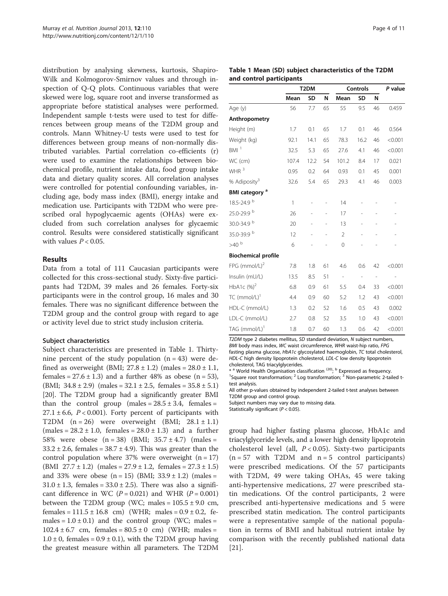distribution by analysing skewness, kurtosis, Shapiro-Wilk and Kolmogorov-Smirnov values and through inspection of Q-Q plots. Continuous variables that were skewed were log, square root and inverse transformed as appropriate before statistical analyses were performed. Independent sample t-tests were used to test for differences between group means of the T2DM group and controls. Mann Whitney-U tests were used to test for differences between group means of non-normally distributed variables. Partial correlation co-efficients (r) were used to examine the relationships between biochemical profile, nutrient intake data, food group intake data and dietary quality scores. All correlation analyses were controlled for potential confounding variables, including age, body mass index (BMI), energy intake and medication use. Participants with T2DM who were prescribed oral hypoglycaemic agents (OHAs) were excluded from such correlation analyses for glycaemic control. Results were considered statistically significant with values  $P < 0.05$ .

#### Results

Data from a total of 111 Caucasian participants were collected for this cross-sectional study. Sixty-five participants had T2DM, 39 males and 26 females. Forty-six participants were in the control group, 16 males and 30 females. There was no significant difference between the T2DM group and the control group with regard to age or activity level due to strict study inclusion criteria.

#### Subject characteristics

Subject characteristics are presented in Table 1. Thirtynine percent of the study population  $(n = 43)$  were defined as overweight (BMI;  $27.8 \pm 1.2$ ) (males =  $28.0 \pm 1.1$ , females =  $27.6 \pm 1.3$ ) and a further 48% as obese (n = 53), (BMI;  $34.8 \pm 2.9$ ) (males =  $32.1 \pm 2.5$ , females =  $35.8 \pm 5.1$ ) [[20](#page-11-0)]. The T2DM group had a significantly greater BMI than the control group (males =  $28.5 \pm 3.4$ , females =  $27.1 \pm 6.6$ ,  $P < 0.001$ ). Forty percent of participants with T2DM  $(n = 26)$  were overweight (BMI;  $28.1 \pm 1.1$ )  $(males = 28.2 \pm 1.0, females = 28.0 \pm 1.3)$  and a further 58% were obese  $(n = 38)$  (BMI;  $35.7 \pm 4.7$ ) (males =  $33.2 \pm 2.6$ , females =  $38.7 \pm 4.9$ ). This was greater than the control population where  $37%$  were overweight (n = 17) (BMI  $27.7 \pm 1.2$ ) (males =  $27.9 \pm 1.2$ , females =  $27.3 \pm 1.5$ ) and 33% were obese  $(n = 15)$  (BMI;  $33.9 \pm 1.2$ ) (males =  $31.0 \pm 1.3$ , females =  $33.0 \pm 2.5$ ). There was also a significant difference in WC ( $P = 0.021$ ) and WHR ( $P = 0.001$ ) between the T2DM group (WC; males =  $105.5 \pm 9.0$  cm, females =  $111.5 \pm 16.8$  cm) (WHR; males =  $0.9 \pm 0.2$ , females =  $1.0 \pm 0.1$ ) and the control group (WC; males =  $102.4 \pm 6.7$  cm, females =  $80.5 \pm 0$  cm) (WHR; males =  $1.0 \pm 0$ , females =  $0.9 \pm 0.1$ ), with the T2DM group having the greatest measure within all parameters. The T2DM

#### Table 1 Mean (SD) subject characteristics of the T2DM and control participants

|                             | T <sub>2</sub> DM |           |    | <b>Controls</b>          |                          |                              | P value |
|-----------------------------|-------------------|-----------|----|--------------------------|--------------------------|------------------------------|---------|
|                             | Mean              | <b>SD</b> | N  | Mean                     | <b>SD</b>                | N                            |         |
| Age (y)                     | 56                | 7.7       | 65 | 55                       | 9.5                      | 46                           | 0.459   |
| Anthropometry               |                   |           |    |                          |                          |                              |         |
| Height (m)                  | 1.7               | 0.1       | 65 | 1.7                      | 0.1                      | 46                           | 0.564   |
| Weight (kg)                 | 92.1              | 14.1      | 65 | 78.3                     | 16.2                     | 46                           | < 0.001 |
| BM <sup>1</sup>             | 32.5              | 5.3       | 65 | 27.6                     | 4.1                      | 46                           | < 0.001 |
| WC (cm)                     | 107.4             | 12.2      | 54 | 101.2                    | 8.4                      | 17                           | 0.021   |
| WHR $^3$                    | 0.95              | 0.2       | 64 | 0.93                     | 0.1                      | 45                           | 0.001   |
| % Adiposity <sup>3</sup>    | 32.6              | 5.4       | 65 | 29.3                     | 4.1                      | 46                           | 0.003   |
| BMI category <sup>a</sup>   |                   |           |    |                          |                          |                              |         |
| 18.5-24.9 b                 | 1                 |           |    | 14                       |                          |                              |         |
| 25.0-29.9 b                 | 26                |           |    | 17                       |                          |                              |         |
| 30.0-34.9 b                 | 20                |           |    | 13                       |                          |                              |         |
| 35.0-39.9 b                 | 12                |           |    | $\overline{2}$           |                          |                              |         |
| $>40$ $^{\rm b}$            | 6                 |           |    | 0                        |                          |                              |         |
| <b>Biochemical profile</b>  |                   |           |    |                          |                          |                              |         |
| $FPG$ (mmol/L) <sup>2</sup> | 7.8               | 1.8       | 61 | 4.6                      | 0.6                      | 42                           | < 0.001 |
| Insulin (mU/L)              | 13.5              | 8.5       | 51 | $\overline{\phantom{a}}$ | $\overline{\phantom{m}}$ | $\qquad \qquad \blacksquare$ |         |
| HbA1c $(%)^2$               | 6.8               | 0.9       | 61 | 5.5                      | 0.4                      | 33                           | < 0.001 |
| TC (mmol/L) $^1$            | 4.4               | 0.9       | 60 | 5.2                      | 1.2                      | 43                           | < 0.001 |
| HDL-C (mmol/L)              | 1.3               | 0.2       | 52 | 1.6                      | 0.5                      | 43                           | 0.002   |
| LDL-C (mmol/L)              | 2.7               | 0.8       | 52 | 3.5                      | 1.0                      | 43                           | < 0.001 |
| TAG (mmol/L) <sup>1</sup>   | 1.8               | 0.7       | 60 | 1.3                      | 0.6                      | 42                           | < 0.001 |

T2DM type 2 diabetes mellitus, SD standard deviation, N subject numbers, BMI body mass index, WC waist circumference, WHR waist-hip ratio, FPG fasting plasma glucose, HbA1c glycosylated haemoglobin, TC total cholesterol, HDL-C high density lipoprotein cholesterol, LDL-C low density lipoprotein cholesterol, TAG triacylglycerides.

\* a World Health Organisation classification <sup>(20)</sup>; <sup>b</sup> Expressed as frequency. <sup>1</sup>Square root transformation;  $2$  Log transformation;  $3$  Non-parametric 2-tailed t-

test analysis. All other p-values obtained by independent 2-tailed t-test analyses between T2DM group and control group.

Subject numbers may vary due to missing data.

Statistically significant ( $P < 0.05$ ).

group had higher fasting plasma glucose, HbA1c and triacylglyceride levels, and a lower high density lipoprotein cholesterol level (all,  $P < 0.05$ ). Sixty-two participants  $(n = 57 \text{ with } T2DM \text{ and } n = 5 \text{ control participants})$ were prescribed medications. Of the 57 participants with T2DM, 49 were taking OHAs, 45 were taking anti-hypertensive medications, 27 were prescribed statin medications. Of the control participants, 2 were prescribed anti-hypertensive medications and 5 were prescribed statin medication. The control participants were a representative sample of the national population in terms of BMI and habitual nutrient intake by comparison with the recently published national data [[21\]](#page-11-0).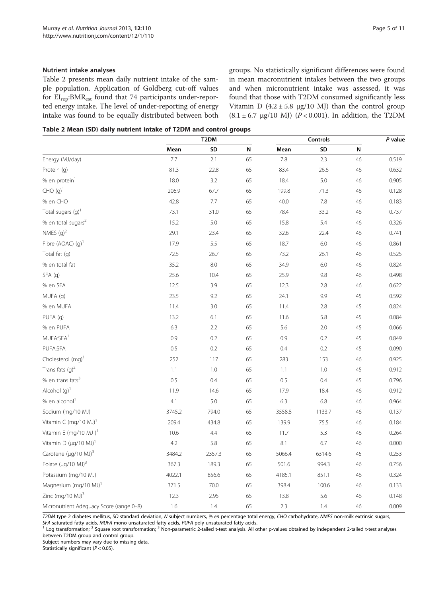#### Nutrient intake analyses

Table 2 presents mean daily nutrient intake of the sample population. Application of Goldberg cut-off values for EIrep:BMRest found that 74 participants under-reported energy intake. The level of under-reporting of energy intake was found to be equally distributed between both groups. No statistically significant differences were found in mean macronutrient intakes between the two groups and when micronutrient intake was assessed, it was found that those with T2DM consumed significantly less Vitamin D  $(4.2 \pm 5.8 \text{ µg}/10 \text{ MJ})$  than the control group  $(8.1 \pm 6.7 \text{ µg}/10 \text{ MJ})$  ( $P < 0.001$ ). In addition, the T2DM

Table 2 Mean (SD) daily nutrient intake of T2DM and control groups

|                                          | T <sub>2</sub> DM |        |    | <b>Controls</b> |        |    | P value |
|------------------------------------------|-------------------|--------|----|-----------------|--------|----|---------|
|                                          | Mean              | SD     | N  | Mean            | SD     | N  |         |
| Energy (MJ/day)                          | 7.7               | 2.1    | 65 | 7.8             | 2.3    | 46 | 0.519   |
| Protein (q)                              | 81.3              | 22.8   | 65 | 83.4            | 26.6   | 46 | 0.632   |
| % en protein <sup>1</sup>                | 18.0              | 3.2    | 65 | 18.4            | 5.0    | 46 | 0.905   |
| $CHO (g)^1$                              | 206.9             | 67.7   | 65 | 199.8           | 71.3   | 46 | 0.128   |
| % en CHO                                 | 42.8              | 7.7    | 65 | 40.0            | 7.8    | 46 | 0.183   |
| Total sugars (g) <sup>1</sup>            | 73.1              | 31.0   | 65 | 78.4            | 33.2   | 46 | 0.737   |
| % en total sugars <sup>2</sup>           | 15.2              | 5.0    | 65 | 15.8            | 5.4    | 46 | 0.326   |
| NMES $(q)^2$                             | 29.1              | 23.4   | 65 | 32.6            | 22.4   | 46 | 0.741   |
| Fibre (AOAC) $(q)^1$                     | 17.9              | 5.5    | 65 | 18.7            | 6.0    | 46 | 0.861   |
| Total fat (q)                            | 72.5              | 26.7   | 65 | 73.2            | 26.1   | 46 | 0.525   |
| % en total fat                           | 35.2              | 8.0    | 65 | 34.9            | 6.0    | 46 | 0.824   |
| SFA(q)                                   | 25.6              | 10.4   | 65 | 25.9            | 9.8    | 46 | 0.498   |
| % en SFA                                 | 12.5              | 3.9    | 65 | 12.3            | 2.8    | 46 | 0.622   |
| MUFA (g)                                 | 23.5              | 9.2    | 65 | 24.1            | 9.9    | 45 | 0.592   |
| % en MUFA                                | 11.4              | 3.0    | 65 | 11.4            | 2.8    | 45 | 0.824   |
| PUFA (g)                                 | 13.2              | 6.1    | 65 | 11.6            | 5.8    | 45 | 0.084   |
| % en PUFA                                | 6.3               | 2.2    | 65 | 5.6             | 2.0    | 45 | 0.066   |
| MUFA:SFA <sup>1</sup>                    | 0.9               | 0.2    | 65 | 0.9             | 0.2    | 45 | 0.849   |
| PUFA:SFA                                 | 0.5               | 0.2    | 65 | 0.4             | 0.2    | 45 | 0.090   |
| Cholesterol (mg) <sup>1</sup>            | 252               | 117    | 65 | 283             | 153    | 46 | 0.925   |
| Trans fats $(q)^2$                       | 1.1               | 1.0    | 65 | 1.1             | 1.0    | 45 | 0.912   |
| % en trans fats <sup>3</sup>             | $0.5\,$           | 0.4    | 65 | 0.5             | 0.4    | 45 | 0.796   |
| Alcohol $(q)^1$                          | 11.9              | 14.6   | 65 | 17.9            | 18.4   | 46 | 0.912   |
| % en alcohol <sup>1</sup>                | 4.1               | 5.0    | 65 | 6.3             | 6.8    | 46 | 0.964   |
| Sodium (mg/10 MJ)                        | 3745.2            | 794.0  | 65 | 3558.8          | 1133.7 | 46 | 0.137   |
| Vitamin C (mg/10 MJ) <sup>1</sup>        | 209.4             | 434.8  | 65 | 139.9           | 75.5   | 46 | 0.184   |
| Vitamin E (mg/10 MJ) <sup>1</sup>        | 10.6              | 4.4    | 65 | 11.7            | 5.3    | 46 | 0.264   |
| Vitamin D $(\mu q/10 \text{ MJ})^1$      | 4.2               | 5.8    | 65 | 8.1             | 6.7    | 46 | 0.000   |
| Carotene (µg/10 MJ) <sup>3</sup>         | 3484.2            | 2357.3 | 65 | 5066.4          | 6314.6 | 45 | 0.253   |
| Folate $(\mu q/10 \text{ MJ})^3$         | 367.3             | 189.3  | 65 | 501.6           | 994.3  | 46 | 0.756   |
| Potassium (mg/10 MJ)                     | 4022.1            | 856.6  | 65 | 4185.1          | 851.1  | 46 | 0.324   |
| Magnesium (mg/10 MJ) <sup>1</sup>        | 371.5             | 70.0   | 65 | 398.4           | 100.6  | 46 | 0.133   |
| Zinc $(mq/10 \text{ MJ})^3$              | 12.3              | 2.95   | 65 | 13.8            | 5.6    | 46 | 0.148   |
| Micronutrient Adequacy Score (range 0-8) | 1.6               | 1.4    | 65 | 2.3             | 1.4    | 46 | 0.009   |

T2DM type 2 diabetes mellitus, SD standard deviation, N subject numbers, % en percentage total energy, CHO carbohydrate, NMES non-milk extrinsic sugars, SFA saturated fatty acids. MUFA mono-unsaturated fatty acids.

 $^1$  Log transformation; <sup>2</sup> Square root transformation; <sup>3</sup> Non-parametric 2-tailed t-test analysis. All other p-values obtained by independent 2-tailed t-test analyses between T2DM group and control group.

Subject numbers may vary due to missing data.

Statistically significant ( $P < 0.05$ ).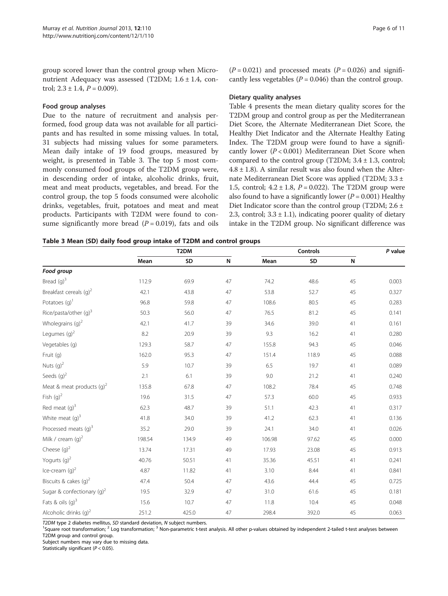group scored lower than the control group when Micronutrient Adequacy was assessed (T2DM; 1.6 ± 1.4, control;  $2.3 \pm 1.4$ ,  $P = 0.009$ ).

#### Food group analyses

Due to the nature of recruitment and analysis performed, food group data was not available for all participants and has resulted in some missing values. In total, 31 subjects had missing values for some parameters. Mean daily intake of 19 food groups, measured by weight, is presented in Table 3. The top 5 most commonly consumed food groups of the T2DM group were, in descending order of intake, alcoholic drinks, fruit, meat and meat products, vegetables, and bread. For the control group, the top 5 foods consumed were alcoholic drinks, vegetables, fruit, potatoes and meat and meat products. Participants with T2DM were found to consume significantly more bread  $(P = 0.019)$ , fats and oils

 $(P = 0.021)$  and processed meats  $(P = 0.026)$  and significantly less vegetables ( $P = 0.046$ ) than the control group.

#### Dietary quality analyses

Table [4](#page-8-0) presents the mean dietary quality scores for the T2DM group and control group as per the Mediterranean Diet Score, the Alternate Mediterranean Diet Score, the Healthy Diet Indicator and the Alternate Healthy Eating Index. The T2DM group were found to have a significantly lower  $(P < 0.001)$  Mediterranean Diet Score when compared to the control group (T2DM;  $3.4 \pm 1.3$ , control;  $4.8 \pm 1.8$ ). A similar result was also found when the Alternate Mediterranean Diet Score was applied (T2DM; 3.3 ± 1.5, control;  $4.2 \pm 1.8$ ,  $P = 0.022$ ). The T2DM group were also found to have a significantly lower  $(P = 0.001)$  Healthy Diet Indicator score than the control group (T2DM;  $2.6 \pm$ 2.3, control;  $3.3 \pm 1.1$ ), indicating poorer quality of dietary intake in the T2DM group. No significant difference was

| Table 3 Mean (SD) daily food group intake of T2DM and control groups |  |  |  |
|----------------------------------------------------------------------|--|--|--|
|----------------------------------------------------------------------|--|--|--|

|                                        | T <sub>2</sub> DM |       |    | Controls |       |    | P value |
|----------------------------------------|-------------------|-------|----|----------|-------|----|---------|
|                                        | Mean              | SD    | N  | Mean     | SD    | N  |         |
| Food group                             |                   |       |    |          |       |    |         |
| Bread $(q)^3$                          | 112.9             | 69.9  | 47 | 74.2     | 48.6  | 45 | 0.003   |
| Breakfast cereals (q) <sup>2</sup>     | 42.1              | 43.8  | 47 | 53.8     | 52.7  | 45 | 0.327   |
| Potatoes $(q)$ <sup>1</sup>            | 96.8              | 59.8  | 47 | 108.6    | 80.5  | 45 | 0.283   |
| Rice/pasta/other (g) <sup>3</sup>      | 50.3              | 56.0  | 47 | 76.5     | 81.2  | 45 | 0.141   |
| Wholegrains $(q)^2$                    | 42.1              | 41.7  | 39 | 34.6     | 39.0  | 41 | 0.161   |
| Legumes $(q)^2$                        | 8.2               | 20.9  | 39 | 9.3      | 16.2  | 41 | 0.280   |
| Vegetables (g)                         | 129.3             | 58.7  | 47 | 155.8    | 94.3  | 45 | 0.046   |
| Fruit (g)                              | 162.0             | 95.3  | 47 | 151.4    | 118.9 | 45 | 0.088   |
| Nuts $(g)^2$                           | 5.9               | 10.7  | 39 | 6.5      | 19.7  | 41 | 0.089   |
| Seeds $(q)^2$                          | 2.1               | 6.1   | 39 | 9.0      | 21.2  | 41 | 0.240   |
| Meat & meat products $(q)^2$           | 135.8             | 67.8  | 47 | 108.2    | 78.4  | 45 | 0.748   |
| Fish $(g)^2$                           | 19.6              | 31.5  | 47 | 57.3     | 60.0  | 45 | 0.933   |
| Red meat $(q)^3$                       | 62.3              | 48.7  | 39 | 51.1     | 42.3  | 41 | 0.317   |
| White meat $(q)^3$                     | 41.8              | 34.0  | 39 | 41.2     | 62.3  | 41 | 0.136   |
| Processed meats (g) <sup>3</sup>       | 35.2              | 29.0  | 39 | 24.1     | 34.0  | 41 | 0.026   |
| Milk / cream $(q)^2$                   | 198.54            | 134.9 | 49 | 106.98   | 97.62 | 45 | 0.000   |
| Cheese $(g)^2$                         | 13.74             | 17.31 | 49 | 17.93    | 23.08 | 45 | 0.913   |
| Yogurts $(q)^2$                        | 40.76             | 50.51 | 41 | 35.36    | 45.51 | 41 | 0.241   |
| Ice-cream $(q)^2$                      | 4.87              | 11.82 | 41 | 3.10     | 8.44  | 41 | 0.841   |
| Biscuits & cakes $(q)^2$               | 47.4              | 50.4  | 47 | 43.6     | 44.4  | 45 | 0.725   |
| Sugar & confectionary (q) <sup>2</sup> | 19.5              | 32.9  | 47 | 31.0     | 61.6  | 45 | 0.181   |
| Fats & oils $(q)^3$                    | 15.6              | 10.7  | 47 | 11.8     | 10.4  | 45 | 0.048   |
| Alcoholic drinks $(q)^2$               | 251.2             | 425.0 | 47 | 298.4    | 392.0 | 45 | 0.063   |

T2DM type 2 diabetes mellitus, SD standard deviation, N subject numbers.

<sup>1</sup>Square root transformation; <sup>2</sup> Log transformation; <sup>3</sup> Non-parametric t-test analysis. All other p-values obtained by independent 2-tailed t-test analyses between T2DM group and control group.

Subject numbers may vary due to missing data.

Statistically significant ( $P < 0.05$ ).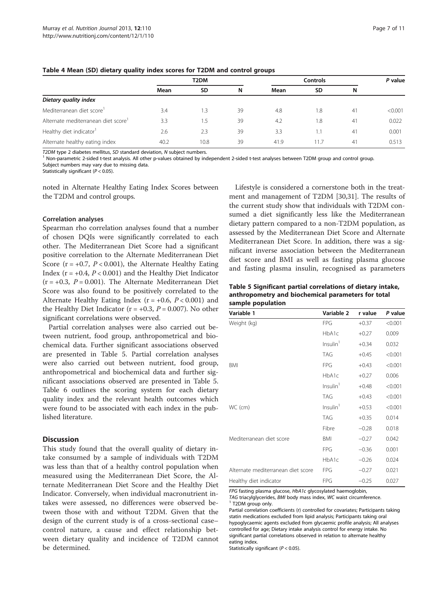|                                       | T <sub>2</sub> DM |           |    | <b>Controls</b> |           |    | P value |
|---------------------------------------|-------------------|-----------|----|-----------------|-----------|----|---------|
|                                       | Mean              | <b>SD</b> | N  | Mean            | <b>SD</b> | N  |         |
| Dietary quality index                 |                   |           |    |                 |           |    |         |
| Mediterranean diet score <sup>1</sup> | 3.4               | 1.3       | 39 | 4.8             | 1.8       | 41 | < 0.001 |
| Alternate mediterranean diet score    | 3.3               | 1.5       | 39 | 4.2             | 1.8       | 41 | 0.022   |
| Healthy diet indicator <sup>1</sup>   | 2.6               | 2.3       | 39 | 3.3             |           | 41 | 0.001   |
| Alternate healthy eating index        | 40.2              | 10.8      | 39 | 41.9            | 11.7      | 41 | 0.513   |

#### <span id="page-8-0"></span>Table 4 Mean (SD) dietary quality index scores for T2DM and control groups

T2DM type 2 diabetes mellitus, SD standard deviation, N subject numbers.<br><sup>1</sup> Non-parametric 2-sided t-test analysis. All other p-values obtained by independent 2-sided t-test analyses between T2DM group and control group.

Subject numbers may vary due to missing data.

Statistically significant ( $P < 0.05$ ).

noted in Alternate Healthy Eating Index Scores between the T2DM and control groups.

#### Correlation analyses

Spearman rho correlation analyses found that a number of chosen DQIs were significantly correlated to each other. The Mediterranean Diet Score had a significant positive correlation to the Alternate Mediterranean Diet Score ( $r = +0.7$ ,  $P < 0.001$ ), the Alternate Healthy Eating Index ( $r = +0.4$ ,  $P < 0.001$ ) and the Healthy Diet Indicator  $(r = +0.3, P = 0.001)$ . The Alternate Mediterranean Diet Score was also found to be positively correlated to the Alternate Healthy Eating Index ( $r = +0.6$ ,  $P < 0.001$ ) and the Healthy Diet Indicator ( $r = +0.3$ ,  $P = 0.007$ ). No other significant correlations were observed.

Partial correlation analyses were also carried out between nutrient, food group, anthropometrical and biochemical data. Further significant associations observed are presented in Table 5. Partial correlation analyses were also carried out between nutrient, food group, anthropometrical and biochemical data and further significant associations observed are presented in Table 5. Table [6](#page-9-0) outlines the scoring system for each dietary quality index and the relevant health outcomes which were found to be associated with each index in the published literature.

#### **Discussion**

This study found that the overall quality of dietary intake consumed by a sample of individuals with T2DM was less than that of a healthy control population when measured using the Mediterranean Diet Score, the Alternate Mediterranean Diet Score and the Healthy Diet Indicator. Conversely, when individual macronutrient intakes were assessed, no differences were observed between those with and without T2DM. Given that the design of the current study is of a cross-sectional case– control nature, a cause and effect relationship between dietary quality and incidence of T2DM cannot be determined.

Lifestyle is considered a cornerstone both in the treatment and management of T2DM [\[30,31\]](#page-12-0). The results of the current study show that individuals with T2DM consumed a diet significantly less like the Mediterranean dietary pattern compared to a non-T2DM population, as assessed by the Mediterranean Diet Score and Alternate Mediterranean Diet Score. In addition, there was a significant inverse association between the Mediterranean diet score and BMI as well as fasting plasma glucose and fasting plasma insulin, recognised as parameters

Table 5 Significant partial correlations of dietary intake, anthropometry and biochemical parameters for total sample population

| Variable 1                         | Variable 2           | r value | P value |
|------------------------------------|----------------------|---------|---------|
| Weight (kg)                        | <b>FPG</b>           | $+0.37$ | < 0.001 |
|                                    | HbA1c                | $+0.27$ | 0.009   |
|                                    | Insulin <sup>1</sup> | $+0.34$ | 0.032   |
|                                    | <b>TAG</b>           | $+0.45$ | < 0.001 |
| BMI                                | <b>FPG</b>           | $+0.43$ | < 0.001 |
|                                    | HbA1c                | $+0.27$ | 0.006   |
|                                    | Insulin <sup>1</sup> | $+0.48$ | < 0.001 |
|                                    | <b>TAG</b>           | $+0.43$ | < 0.001 |
| WC (cm)                            | Insulin <sup>1</sup> | $+0.53$ | < 0.001 |
|                                    | TAG                  | $+0.35$ | 0.014   |
|                                    | Fibre                | $-0.28$ | 0.018   |
| Mediterranean diet score           | <b>BMI</b>           | $-0.27$ | 0.042   |
|                                    | FPG                  | $-0.36$ | 0.001   |
|                                    | HbA1c                | $-0.26$ | 0.024   |
| Alternate mediterranean diet score | <b>FPG</b>           | $-0.27$ | 0.021   |
| Healthy diet indicator             | FPG                  | $-0.25$ | 0.027   |

FPG fasting plasma glucose, HbA1c glycosylated haemoglobin,

TAG triacylglycerides,  $BMI$  body mass index, WC waist circumference.<br><sup>1</sup> T2DM group only.

Partial correlation coefficients (r) controlled for covariates; Participants taking statin medications excluded from lipid analysis; Participants taking oral hypoglycaemic agents excluded from glycaemic profile analysis; All analyses controlled for age; Dietary intake analysis control for energy intake. No significant partial correlations observed in relation to alternate healthy eating index.

Statistically significant (P < 0.05).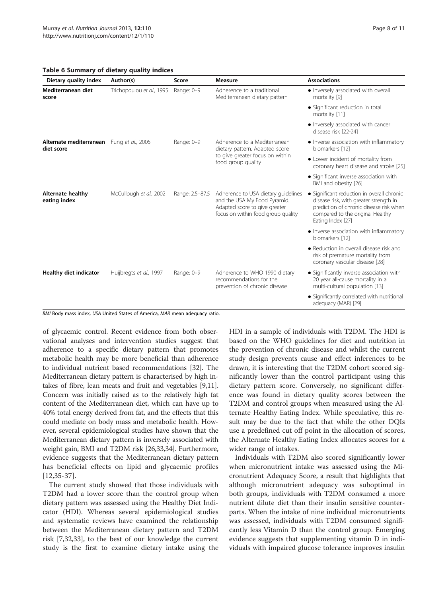<span id="page-9-0"></span>Table 6 Summary of dietary quality indices

| Dietary quality index                                   | Author(s)                 | Score           | Measure                                                                                                                                    | <b>Associations</b>                                                                                                                                                                      |
|---------------------------------------------------------|---------------------------|-----------------|--------------------------------------------------------------------------------------------------------------------------------------------|------------------------------------------------------------------------------------------------------------------------------------------------------------------------------------------|
| Mediterranean diet<br>score                             | Trichopoulou et al., 1995 | Range: 0-9      | Adherence to a traditional<br>Mediterranean dietary pattern                                                                                | • Inversely associated with overall<br>mortality [9]                                                                                                                                     |
|                                                         |                           |                 |                                                                                                                                            | • Significant reduction in total<br>mortality [11]                                                                                                                                       |
|                                                         |                           |                 |                                                                                                                                            | • Inversely associated with cancer<br>disease risk [22-24]                                                                                                                               |
| Alternate mediterranean Fung et al., 2005<br>diet score |                           | Range: 0-9      | Adherence to a Mediterranean<br>dietary pattern. Adapted score                                                                             | • Inverse association with inflammatory<br>biomarkers [12]                                                                                                                               |
|                                                         |                           |                 | to give greater focus on within<br>food group quality                                                                                      | • Lower incident of mortality from<br>coronary heart disease and stroke [25]                                                                                                             |
|                                                         |                           |                 |                                                                                                                                            | • Significant inverse association with<br>BMI and obesity [26]                                                                                                                           |
| <b>Alternate healthy</b><br>eating index                | McCullough et al., 2002   | Range: 2.5-87.5 | Adherence to USA dietary guidelines<br>and the USA My Food Pyramid.<br>Adapted score to give greater<br>focus on within food group quality | • Significant reduction in overall chronic<br>disease risk, with greater strength in<br>prediction of chronic disease risk when<br>compared to the original Healthy<br>Eating Index [27] |
|                                                         |                           |                 |                                                                                                                                            | • Inverse association with inflammatory<br>biomarkers [12]                                                                                                                               |
|                                                         |                           |                 |                                                                                                                                            | • Reduction in overall disease risk and<br>risk of premature mortality from<br>coronary vascular disease [28]                                                                            |
| <b>Healthy diet indicator</b>                           | Huijbregts et al., 1997   | Range: 0-9      | Adherence to WHO 1990 dietary<br>recommendations for the<br>prevention of chronic disease                                                  | • Significantly inverse association with<br>20 year all-cause mortality in a<br>multi-cultural population [13]                                                                           |
|                                                         |                           |                 |                                                                                                                                            | • Significantly correlated with nutritional<br>adequacy (MAR) [29]                                                                                                                       |

BMI Body mass index, USA United States of America, MAR mean adequacy ratio.

of glycaemic control. Recent evidence from both observational analyses and intervention studies suggest that adherence to a specific dietary pattern that promotes metabolic health may be more beneficial than adherence to individual nutrient based recommendations [[32](#page-12-0)]. The Mediterranean dietary pattern is characterised by high intakes of fibre, lean meats and fruit and vegetables [[9,11](#page-11-0)]. Concern was initially raised as to the relatively high fat content of the Mediterranean diet, which can have up to 40% total energy derived from fat, and the effects that this could mediate on body mass and metabolic health. However, several epidemiological studies have shown that the Mediterranean dietary pattern is inversely associated with weight gain, BMI and T2DM risk [\[26](#page-11-0)[,33,34](#page-12-0)]. Furthermore, evidence suggests that the Mediterranean dietary pattern has beneficial effects on lipid and glycaemic profiles [[12,](#page-11-0)[35](#page-12-0)-[37\]](#page-12-0).

The current study showed that those individuals with T2DM had a lower score than the control group when dietary pattern was assessed using the Healthy Diet Indicator (HDI). Whereas several epidemiological studies and systematic reviews have examined the relationship between the Mediterranean dietary pattern and T2DM risk [[7,](#page-11-0)[32,33\]](#page-12-0), to the best of our knowledge the current study is the first to examine dietary intake using the HDI in a sample of individuals with T2DM. The HDI is based on the WHO guidelines for diet and nutrition in the prevention of chronic disease and whilst the current study design prevents cause and effect inferences to be drawn, it is interesting that the T2DM cohort scored significantly lower than the control participant using this dietary pattern score. Conversely, no significant difference was found in dietary quality scores between the T2DM and control groups when measured using the Alternate Healthy Eating Index. While speculative, this result may be due to the fact that while the other DQIs use a predefined cut off point in the allocation of scores, the Alternate Healthy Eating Index allocates scores for a wider range of intakes.

Individuals with T2DM also scored significantly lower when micronutrient intake was assessed using the Micronutrient Adequacy Score, a result that highlights that although micronutrient adequacy was suboptimal in both groups, individuals with T2DM consumed a more nutrient dilute diet than their insulin sensitive counterparts. When the intake of nine individual micronutrients was assessed, individuals with T2DM consumed significantly less Vitamin D than the control group. Emerging evidence suggests that supplementing vitamin D in individuals with impaired glucose tolerance improves insulin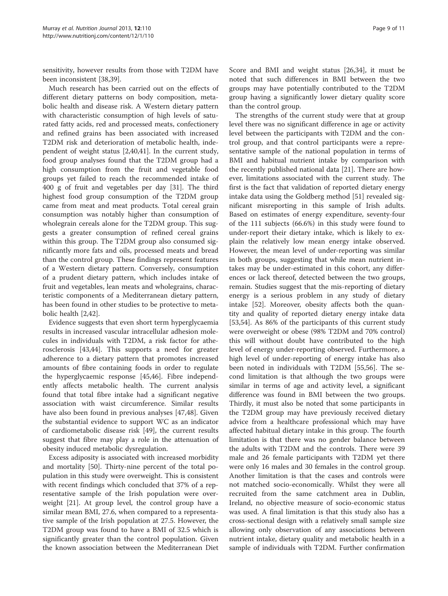sensitivity, however results from those with T2DM have been inconsistent [\[38,39](#page-12-0)].

Much research has been carried out on the effects of different dietary patterns on body composition, metabolic health and disease risk. A Western dietary pattern with characteristic consumption of high levels of saturated fatty acids, red and processed meats, confectionery and refined grains has been associated with increased T2DM risk and deterioration of metabolic health, independent of weight status [\[2](#page-11-0)[,40,41\]](#page-12-0). In the current study, food group analyses found that the T2DM group had a high consumption from the fruit and vegetable food groups yet failed to reach the recommended intake of 400 g of fruit and vegetables per day [\[31\]](#page-12-0). The third highest food group consumption of the T2DM group came from meat and meat products. Total cereal grain consumption was notably higher than consumption of wholegrain cereals alone for the T2DM group. This suggests a greater consumption of refined cereal grains within this group. The T2DM group also consumed significantly more fats and oils, processed meats and bread than the control group. These findings represent features of a Western dietary pattern. Conversely, consumption of a prudent dietary pattern, which includes intake of fruit and vegetables, lean meats and wholegrains, characteristic components of a Mediterranean dietary pattern, has been found in other studies to be protective to metabolic health [[2,](#page-11-0)[42\]](#page-12-0).

Evidence suggests that even short term hyperglycaemia results in increased vascular intracellular adhesion molecules in individuals with T2DM, a risk factor for atherosclerosis [[43,44\]](#page-12-0). This supports a need for greater adherence to a dietary pattern that promotes increased amounts of fibre containing foods in order to regulate the hyperglycaemic response [\[45,46](#page-12-0)]. Fibre independently affects metabolic health. The current analysis found that total fibre intake had a significant negative association with waist circumference. Similar results have also been found in previous analyses [\[47,48\]](#page-12-0). Given the substantial evidence to support WC as an indicator of cardiometabolic disease risk [\[49\]](#page-12-0), the current results suggest that fibre may play a role in the attenuation of obesity induced metabolic dysregulation.

Excess adiposity is associated with increased morbidity and mortality [\[50](#page-12-0)]. Thirty-nine percent of the total population in this study were overweight. This is consistent with recent findings which concluded that 37% of a representative sample of the Irish population were overweight [[21\]](#page-11-0). At group level, the control group have a similar mean BMI, 27.6, when compared to a representative sample of the Irish population at 27.5. However, the T2DM group was found to have a BMI of 32.5 which is significantly greater than the control population. Given the known association between the Mediterranean Diet

Score and BMI and weight status [\[26](#page-11-0)[,34](#page-12-0)], it must be noted that such differences in BMI between the two groups may have potentially contributed to the T2DM group having a significantly lower dietary quality score than the control group.

The strengths of the current study were that at group level there was no significant difference in age or activity level between the participants with T2DM and the control group, and that control participants were a representative sample of the national population in terms of BMI and habitual nutrient intake by comparison with the recently published national data [\[21](#page-11-0)]. There are however, limitations associated with the current study. The first is the fact that validation of reported dietary energy intake data using the Goldberg method [[51](#page-12-0)] revealed significant misreporting in this sample of Irish adults. Based on estimates of energy expenditure, seventy-four of the 111 subjects (66.6%) in this study were found to under-report their dietary intake, which is likely to explain the relatively low mean energy intake observed. However, the mean level of under-reporting was similar in both groups, suggesting that while mean nutrient intakes may be under-estimated in this cohort, any differences or lack thereof, detected between the two groups, remain. Studies suggest that the mis-reporting of dietary energy is a serious problem in any study of dietary intake [\[52](#page-12-0)]. Moreover, obesity affects both the quantity and quality of reported dietary energy intake data [[53,54\]](#page-12-0). As 86% of the participants of this current study were overweight or obese (98% T2DM and 70% control) this will without doubt have contributed to the high level of energy under-reporting observed. Furthermore, a high level of under-reporting of energy intake has also been noted in individuals with T2DM [[55,56](#page-12-0)]. The second limitation is that although the two groups were similar in terms of age and activity level, a significant difference was found in BMI between the two groups. Thirdly, it must also be noted that some participants in the T2DM group may have previously received dietary advice from a healthcare professional which may have affected habitual dietary intake in this group. The fourth limitation is that there was no gender balance between the adults with T2DM and the controls. There were 39 male and 26 female participants with T2DM yet there were only 16 males and 30 females in the control group. Another limitation is that the cases and controls were not matched socio-economically. Whilst they were all recruited from the same catchment area in Dublin, Ireland, no objective measure of socio-economic status was used. A final limitation is that this study also has a cross-sectional design with a relatively small sample size allowing only observation of any associations between nutrient intake, dietary quality and metabolic health in a sample of individuals with T2DM. Further confirmation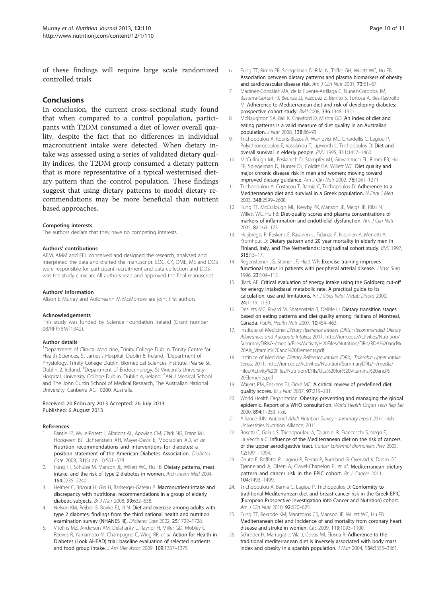<span id="page-11-0"></span>of these findings will require large scale randomized controlled trials.

#### Conclusions

In conclusion, the current cross-sectional study found that when compared to a control population, participants with T2DM consumed a diet of lower overall quality, despite the fact that no differences in individual macronutrient intake were detected. When dietary intake was assessed using a series of validated dietary quality indices, the T2DM group consumed a dietary pattern that is more representative of a typical westernised dietary pattern than the control population. These findings suggest that using dietary patterns to model dietary recommendations may be more beneficial than nutrient based approaches.

#### Competing interests

The authors declare that they have no competing interests.

#### Authors' contributions

AEM, AMM and FEL conceived and designed the research, analysed and interpreted the data and drafted the manuscript. EOC, CK, OME, ME and DOS were responsible for participant recruitment and data collection and DOS was the study clinician. All authors read and approved the final manuscript.

#### Authors' information

Alison E Murray and Aoibheann M McMorrow are joint first authors.

#### Acknowledgements

This study was funded by Science Foundation Ireland (Grant number 08/RFP/BMT1342).

#### Author details

<sup>1</sup>Department of Clinical Medicine, Trinity College Dublin, Trinity Centre for Health Sciences, St James's Hospital, Dublin 8, Ireland. <sup>2</sup>Department of Physiology, Trinity College Dublin, Biomedical Sciences Institute, Pearse St, Dublin 2, Ireland. <sup>3</sup>Department of Endocrinology, St Vincent's University Hospital, University College Dublin, Dublin 4, Ireland. <sup>4</sup> ANU Medical School and The John Curtin School of Medical Research, The Australian National University, Canberra ACT 0200, Australia.

#### Received: 20 February 2013 Accepted: 26 July 2013 Published: 6 August 2013

#### References

- 1. Bantle JP, Wylie-Rosett J, Albright AL, Apovian CM, Clark NG, Franz MJ, Hoogwerf BJ, Lichtenstein AH, Mayer-Davis E, Mooradian AD, et al: Nutrition recommendations and interventions for diabetes: a position statement of the American Diabetes Association. Diabetes Care 2008, 31(Suppl 1):S61–S78.
- Fung TT, Schulze M, Manson JE, Willett WC, Hu FB: Dietary patterns, meat intake, and the risk of type 2 diabetes in women. Arch Intern Med 2004, 164:2235–2240.
- 3. Helmer C, Bricout H, Gin H, Barberger-Gateau P: Macronutrient intake and discrepancy with nutritional recommendations in a group of elderly diabetic subjects. Br J Nutr 2008, 99:632-638.
- 4. Nelson KM, Reiber G, Boyko EJ, III N: Diet and exercise among adults with type 2 diabetes: findings from the third national health and nutrition examination survey (NHANES III). Diabetes Care 2002, 25:1722–1728.
- 5. Vitolins MZ, Anderson AM, Delahanty L, Raynor H, Miller GD, Mobley C, Reeves R, Yamamoto M, Champagne C, Wing RR, et al: Action for Health in Diabetes (Look AHEAD) trial: baseline evaluation of selected nutrients and food group intake. J Am Diet Assoc 2009, 109:1367-1375.
- 6. Fung TT, Rimm EB, Spiegelman D, Rifai N, Tofler GH, Willett WC, Hu FB: Association between dietary patterns and plasma biomarkers of obesity and cardiovascular disease risk. Am J Clin Nutr 2001, 73:61-67.
- 7. Martínez-González MA, de la Fuente-Arrillaga C, Nunez-Cordoba JM, Basterra-Gortari FJ, Beunza JJ, Vazquez Z, Benito S, Tortosa A, Bes-Rastrollo M: Adherence to Mediterranean diet and risk of developing diabetes: prospective cohort study. BMJ 2008, 336:1348–1351.
- 8. McNaughton SA, Ball K, Crawford D, Mishra GD: An index of diet and eating patterns is a valid measure of diet quality in an Australian population. J Nutr 2008, 138:86–93.
- 9. Trichopoulou A, Kouris-Blazos A, Wahlqvist ML, Gnardellis C, Lagiou P, Polychronopoulos E, Vassilakou T, Lipworth L. Trichopoulos D: Diet and overall survival in elderly people. BMJ 1995, 311:1457–1460.
- 10. McCullough ML, Feskanich D, Stampfer MJ, Giovannucci EL, Rimm EB, Hu FB, Spiegelman D, Hunter DJ, Colditz GA, Willett WC: Diet quality and major chronic disease risk in men and women: moving toward improved dietary guidance. Am J Clin Nutr 2002, 76:1261–1271.
- 11. Trichopoulou A, Costacou T, Bamia C, Trichopoulos D: Adherence to a Mediterranean diet and survival in a Greek population. N Engl J Med 2003, 348:2599–2608.
- 12. Fung TT, McCullough ML, Newby PK, Manson JE, Meigs JB, Rifai N, Willett WC, Hu FB: Diet-quality scores and plasma concentrations of markers of inflammation and endothelial dysfunction. Am J Clin Nutr 2005, 82:163–173.
- 13. Huijbregts P, Feskens E, Räsänen L, Fidanza F, Nissinen A, Menotti A, Kromhout D: Dietary pattern and 20 year mortality in elderly men in Finland, Italy, and The Netherlands: longitudinal cohort study. BMJ 1997, 315:13–17.
- 14. Regensteiner JG, Steiner JF, Hiatt WR: Exercise training improves functional status in patients with peripheral arterial disease. J Vasc Surg 1996, 23:104–115.
- 15. Black AE: Critical evaluation of energy intake using the Goldberg cut-off for energy intake:basal metabolic rate. A practical guide to its calculation, use and limitations. Int J Obes Relat Metab Disord 2000, 24:1119–1130.
- 16. Desilets MC, Rivard M, Shatenstein B, Delisle H: Dietary transition stages based on eating patterns and diet quality among Haitians of Montreal, Canada. Public Health Nutr 2007, 10:454–463.
- 17. Institute of Medicine: Dietary Reference Intakes (DRIs): Recommended Dietary Allowances and Adequate Intakes; 2011. [http://iom.edu/Activities/Nutrition/](http://iom.edu/Activities/Nutrition/SummaryDRIs/~/media/Files/Activity%20Files/Nutrition/DRIs/RDA%20and%20AIs_Vitamin%20and%20Elements.pdf) [SummaryDRIs/~/media/Files/Activity%20Files/Nutrition/DRIs/RDA%20and%](http://iom.edu/Activities/Nutrition/SummaryDRIs/~/media/Files/Activity%20Files/Nutrition/DRIs/RDA%20and%20AIs_Vitamin%20and%20Elements.pdf) [20AIs\\_Vitamin%20and%20Elements.pdf](http://iom.edu/Activities/Nutrition/SummaryDRIs/~/media/Files/Activity%20Files/Nutrition/DRIs/RDA%20and%20AIs_Vitamin%20and%20Elements.pdf)
- 18. Institute of Medicine: Dietary Reference Intakes (DRIs): Tolerable Upper Intake Levels; 2011. [http://iom.edu/Activities/Nutrition/SummaryDRIs/~/media/](http://iom.edu/Activities/Nutrition/SummaryDRIs/~/media/Files/Activity%20Files/Nutrition/DRIs/ULs%20for%20Vitamins%20and%20Elements.pdf) [Files/Activity%20Files/Nutrition/DRIs/ULs%20for%20Vitamins%20and%](http://iom.edu/Activities/Nutrition/SummaryDRIs/~/media/Files/Activity%20Files/Nutrition/DRIs/ULs%20for%20Vitamins%20and%20Elements.pdf) [20Elements.pdf](http://iom.edu/Activities/Nutrition/SummaryDRIs/~/media/Files/Activity%20Files/Nutrition/DRIs/ULs%20for%20Vitamins%20and%20Elements.pdf)
- 19. Waijers PM, Feskens EJ, Ocké MC: A critical review of predefined diet quality scores. Br J Nutr 2007, 97:219–231.
- 20. World Health Organization: Obesity: preventing and managing the global epidemic. Report of a WHO consultation. World Health Organ Tech Rep Ser 2000, 894:1–253. i-xii.
- 21. Alliance IUN: National Adult Nutrition Survey summary report 2011. Irish Universities Nutrition Alliance; 2011.
- 22. Bosetti C, Gallus S, Trichopoulou A, Talamini R, Franceschi S, Negri E, La Vecchia C: Influence of the Mediterranean diet on the risk of cancers of the upper aerodigestive tract. Cancer Epidemiol Biomarkers Prev 2003, 12:1091–1094.
- 23. Couto E, Boffetta P, Lagiou P, Ferrari P, Buckland G, Overvad K, Dahm CC, Tjønneland A, Olsen A, Clavel-Chapelon F, et al: Mediterranean dietary pattern and cancer risk in the EPIC cohort. Br J Cancer 2011, 104:1493–1499.
- 24. Trichopoulou A, Bamia C, Lagiou P, Trichopoulos D: Conformity to traditional Mediterranean diet and breast cancer risk in the Greek EPIC (European Prospective Investigation into Cancer and Nutrition) cohort. Am J Clin Nutr 2010, 92:620-625.
- 25. Fung TT, Rexrode KM, Mantzoros CS, Manson JE, Willett WC, Hu FB: Mediterranean diet and incidence of and mortality from coronary heart disease and stroke in women. Circ 2009, 119:1093–1100.
- 26. Schröder H, Marrugat J, Vila J, Covas MI, Elosua R: Adherence to the traditional mediterranean diet is inversely associated with body mass index and obesity in a spanish population. J Nutr 2004, 134:3355–3361.